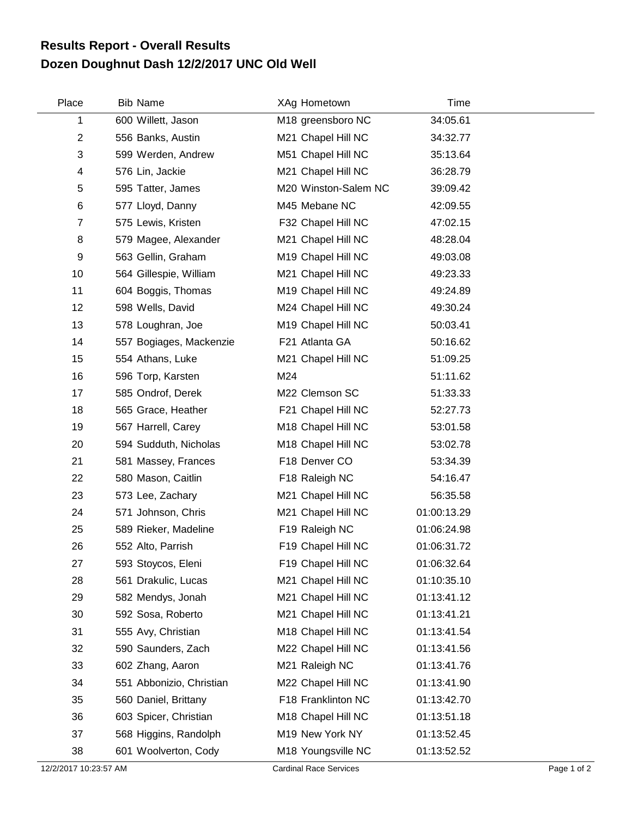## **Dozen Doughnut Dash 12/2/2017 UNC Old Well Results Report - Overall Results**

| Place          | <b>Bib Name</b>          | XAg Hometown         | Time        |
|----------------|--------------------------|----------------------|-------------|
| 1              | 600 Willett, Jason       | M18 greensboro NC    | 34:05.61    |
| $\overline{2}$ | 556 Banks, Austin        | M21 Chapel Hill NC   | 34:32.77    |
| 3              | 599 Werden, Andrew       | M51 Chapel Hill NC   | 35:13.64    |
| 4              | 576 Lin, Jackie          | M21 Chapel Hill NC   | 36:28.79    |
| 5              | 595 Tatter, James        | M20 Winston-Salem NC | 39:09.42    |
| 6              | 577 Lloyd, Danny         | M45 Mebane NC        | 42:09.55    |
| $\overline{7}$ | 575 Lewis, Kristen       | F32 Chapel Hill NC   | 47:02.15    |
| 8              | 579 Magee, Alexander     | M21 Chapel Hill NC   | 48:28.04    |
| 9              | 563 Gellin, Graham       | M19 Chapel Hill NC   | 49:03.08    |
| 10             | 564 Gillespie, William   | M21 Chapel Hill NC   | 49:23.33    |
| 11             | 604 Boggis, Thomas       | M19 Chapel Hill NC   | 49:24.89    |
| 12             | 598 Wells, David         | M24 Chapel Hill NC   | 49:30.24    |
| 13             | 578 Loughran, Joe        | M19 Chapel Hill NC   | 50:03.41    |
| 14             | 557 Bogiages, Mackenzie  | F21 Atlanta GA       | 50:16.62    |
| 15             | 554 Athans, Luke         | M21 Chapel Hill NC   | 51:09.25    |
| 16             | 596 Torp, Karsten        | M24                  | 51:11.62    |
| 17             | 585 Ondrof, Derek        | M22 Clemson SC       | 51:33.33    |
| 18             | 565 Grace, Heather       | F21 Chapel Hill NC   | 52:27.73    |
| 19             | 567 Harrell, Carey       | M18 Chapel Hill NC   | 53:01.58    |
| 20             | 594 Sudduth, Nicholas    | M18 Chapel Hill NC   | 53:02.78    |
| 21             | 581 Massey, Frances      | F18 Denver CO        | 53:34.39    |
| 22             | 580 Mason, Caitlin       | F18 Raleigh NC       | 54:16.47    |
| 23             | 573 Lee, Zachary         | M21 Chapel Hill NC   | 56:35.58    |
| 24             | 571 Johnson, Chris       | M21 Chapel Hill NC   | 01:00:13.29 |
| 25             | 589 Rieker, Madeline     | F19 Raleigh NC       | 01:06:24.98 |
| 26             | 552 Alto, Parrish        | F19 Chapel Hill NC   | 01:06:31.72 |
| 27             | 593 Stoycos, Eleni       | F19 Chapel Hill NC   | 01:06:32.64 |
| 28             | 561 Drakulic, Lucas      | M21 Chapel Hill NC   | 01:10:35.10 |
| 29             | 582 Mendys, Jonah        | M21 Chapel Hill NC   | 01:13:41.12 |
| 30             | 592 Sosa, Roberto        | M21 Chapel Hill NC   | 01:13:41.21 |
| 31             | 555 Avy, Christian       | M18 Chapel Hill NC   | 01:13:41.54 |
| 32             | 590 Saunders, Zach       | M22 Chapel Hill NC   | 01:13:41.56 |
| 33             | 602 Zhang, Aaron         | M21 Raleigh NC       | 01:13:41.76 |
| 34             | 551 Abbonizio, Christian | M22 Chapel Hill NC   | 01:13:41.90 |
| 35             | 560 Daniel, Brittany     | F18 Franklinton NC   | 01:13:42.70 |
| 36             | 603 Spicer, Christian    | M18 Chapel Hill NC   | 01:13:51.18 |
| 37             | 568 Higgins, Randolph    | M19 New York NY      | 01:13:52.45 |
| 38             | 601 Woolverton, Cody     | M18 Youngsville NC   | 01:13:52.52 |